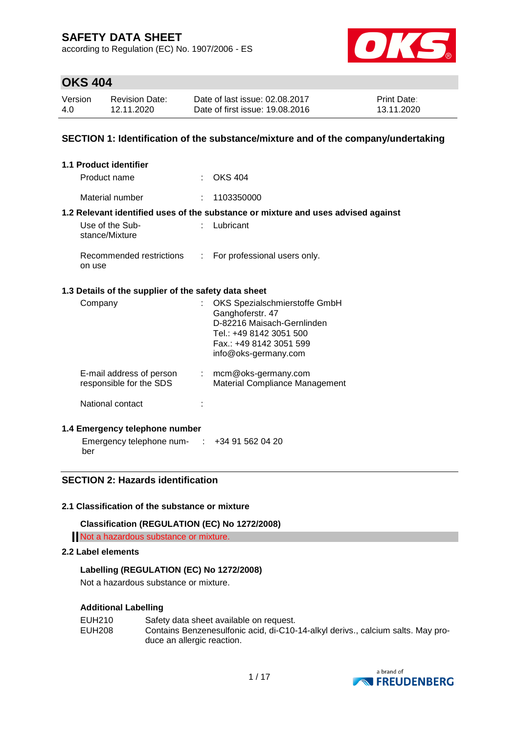according to Regulation (EC) No. 1907/2006 - ES



### **OKS 404**

| Version | <b>Revision Date:</b> | Date of last issue: 02.08.2017  | <b>Print Date:</b> |
|---------|-----------------------|---------------------------------|--------------------|
| 4.0     | 12.11.2020            | Date of first issue: 19.08.2016 | 13.11.2020         |

#### **SECTION 1: Identification of the substance/mixture and of the company/undertaking**

| 1.1 Product identifier                               |                                                                                                                                                               |
|------------------------------------------------------|---------------------------------------------------------------------------------------------------------------------------------------------------------------|
| Product name                                         | $\therefore$ OKS 404                                                                                                                                          |
| Material number                                      | : 1103350000                                                                                                                                                  |
|                                                      | 1.2 Relevant identified uses of the substance or mixture and uses advised against                                                                             |
| Use of the Sub-<br>stance/Mixture                    | Lubricant                                                                                                                                                     |
| Recommended restrictions<br>on use                   | : For professional users only.                                                                                                                                |
| 1.3 Details of the supplier of the safety data sheet |                                                                                                                                                               |
| Company                                              | OKS Spezialschmierstoffe GmbH<br>Ganghoferstr. 47<br>D-82216 Maisach-Gernlinden<br>Tel.: +49 8142 3051 500<br>Fax.: +49 8142 3051 599<br>info@oks-germany.com |
| E-mail address of person<br>responsible for the SDS  | $:$ mcm@oks-germany.com<br>Material Compliance Management                                                                                                     |
| National contact                                     |                                                                                                                                                               |

#### **1.4 Emergency telephone number**

Emergency telephone num- : +34 91 562 04 20 ber

### **SECTION 2: Hazards identification**

#### **2.1 Classification of the substance or mixture**

**Classification (REGULATION (EC) No 1272/2008)**

Not a hazardous substance or mixture.

#### **2.2 Label elements**

#### **Labelling (REGULATION (EC) No 1272/2008)**

Not a hazardous substance or mixture.

#### **Additional Labelling**

| EUH210 | Safety data sheet available on request.                                         |
|--------|---------------------------------------------------------------------------------|
| EUH208 | Contains Benzenesulfonic acid, di-C10-14-alkyl derivs., calcium salts. May pro- |
|        | duce an allergic reaction.                                                      |

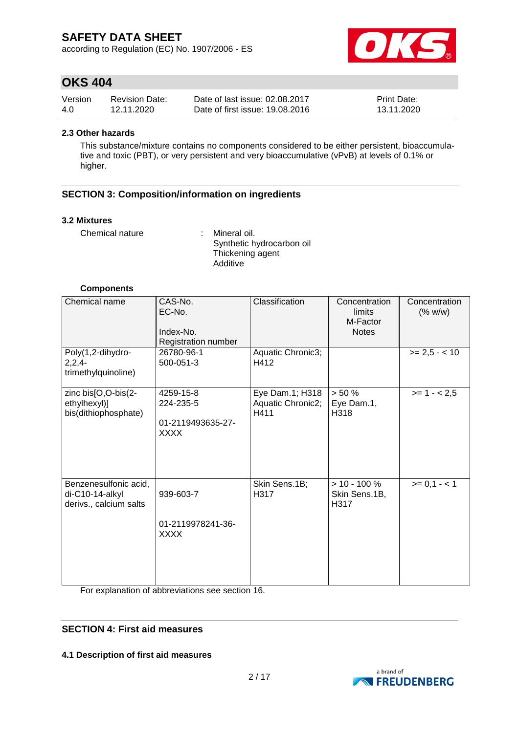according to Regulation (EC) No. 1907/2006 - ES



### **OKS 404**

| Version | <b>Revision Date:</b> | Date of last issue: 02.08.2017  | <b>Print Date:</b> |
|---------|-----------------------|---------------------------------|--------------------|
| 4.0     | 12.11.2020            | Date of first issue: 19,08,2016 | 13.11.2020         |

#### **2.3 Other hazards**

This substance/mixture contains no components considered to be either persistent, bioaccumulative and toxic (PBT), or very persistent and very bioaccumulative (vPvB) at levels of 0.1% or higher.

#### **SECTION 3: Composition/information on ingredients**

#### **3.2 Mixtures**

Chemical nature : Mineral oil.

Synthetic hydrocarbon oil Thickening agent Additive

#### **Components**

| Chemical name                                                      | CAS-No.<br>EC-No.<br>Index-No.<br>Registration number | Classification                               | Concentration<br>limits<br>M-Factor<br><b>Notes</b> | Concentration<br>(% w/w) |
|--------------------------------------------------------------------|-------------------------------------------------------|----------------------------------------------|-----------------------------------------------------|--------------------------|
| Poly(1,2-dihydro-<br>$2,2,4-$<br>trimethylquinoline)               | 26780-96-1<br>500-051-3                               | Aquatic Chronic3;<br>H412                    |                                                     | $>= 2.5 - < 10$          |
| zinc bis[O,O-bis(2-<br>ethylhexyl)]<br>bis(dithiophosphate)        | 4259-15-8<br>224-235-5<br>01-2119493635-27-<br>XXXX   | Eye Dam.1; H318<br>Aquatic Chronic2;<br>H411 | $> 50 \%$<br>Eye Dam.1,<br>H318                     | $>= 1 - 2.5$             |
| Benzenesulfonic acid,<br>di-C10-14-alkyl<br>derivs., calcium salts | 939-603-7<br>01-2119978241-36-<br><b>XXXX</b>         | Skin Sens.1B;<br>H317                        | $> 10 - 100 \%$<br>Skin Sens.1B,<br>H317            | $>= 0,1 - < 1$           |

For explanation of abbreviations see section 16.

#### **SECTION 4: First aid measures**

**4.1 Description of first aid measures**

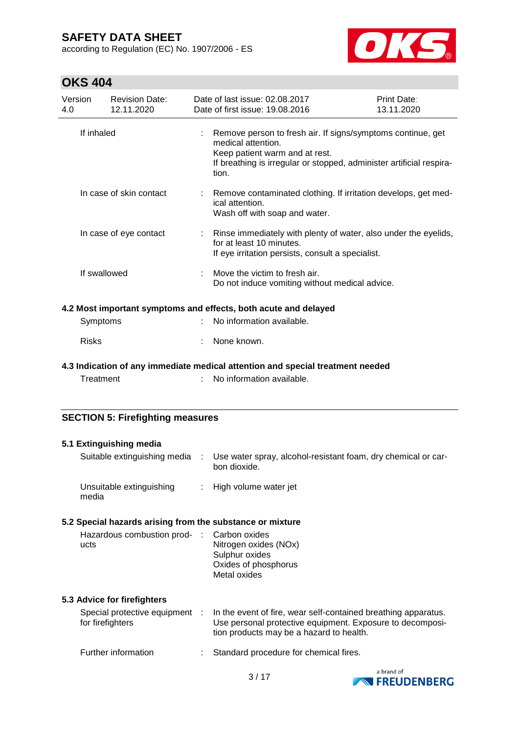according to Regulation (EC) No. 1907/2006 - ES



### **OKS 404**

| Version<br>4.0 | <b>Revision Date:</b><br>12.11.2020     | Date of last issue: 02.08.2017<br>Date of first issue: 19.08.2016                                                                                                                                    | Print Date:<br>13.11.2020 |
|----------------|-----------------------------------------|------------------------------------------------------------------------------------------------------------------------------------------------------------------------------------------------------|---------------------------|
|                | If inhaled                              | Remove person to fresh air. If signs/symptoms continue, get<br>medical attention.<br>Keep patient warm and at rest.<br>If breathing is irregular or stopped, administer artificial respira-<br>tion. |                           |
|                | In case of skin contact                 | Remove contaminated clothing. If irritation develops, get med-<br>ical attention.<br>Wash off with soap and water.                                                                                   |                           |
|                | In case of eye contact                  | : Rinse immediately with plenty of water, also under the eyelids,<br>for at least 10 minutes.<br>If eye irritation persists, consult a specialist.                                                   |                           |
|                | If swallowed                            | Move the victim to fresh air.<br>Do not induce vomiting without medical advice.                                                                                                                      |                           |
|                |                                         | 4.2 Most important symptoms and effects, both acute and delayed                                                                                                                                      |                           |
|                | Symptoms                                | No information available.                                                                                                                                                                            |                           |
| <b>Risks</b>   |                                         | None known.                                                                                                                                                                                          |                           |
|                |                                         | 4.3 Indication of any immediate medical attention and special treatment needed                                                                                                                       |                           |
|                | Treatment                               | No information available.                                                                                                                                                                            |                           |
|                | <b>SECTION 5: Firefighting measures</b> |                                                                                                                                                                                                      |                           |

#### **5.1 Extinguishing media** Suitable extinguishing media : Use water spray, alcohol-resistant foam, dry chemical or carbon dioxide. Unsuitable extinguishing media : High volume water jet **5.2 Special hazards arising from the substance or mixture** Hazardous combustion products : Carbon oxides Nitrogen oxides (NOx) Sulphur oxides Oxides of phosphorus Metal oxides **5.3 Advice for firefighters** Special protective equipment : for firefighters : In the event of fire, wear self-contained breathing apparatus. Use personal protective equipment. Exposure to decomposition products may be a hazard to health. Further information : Standard procedure for chemical fires.

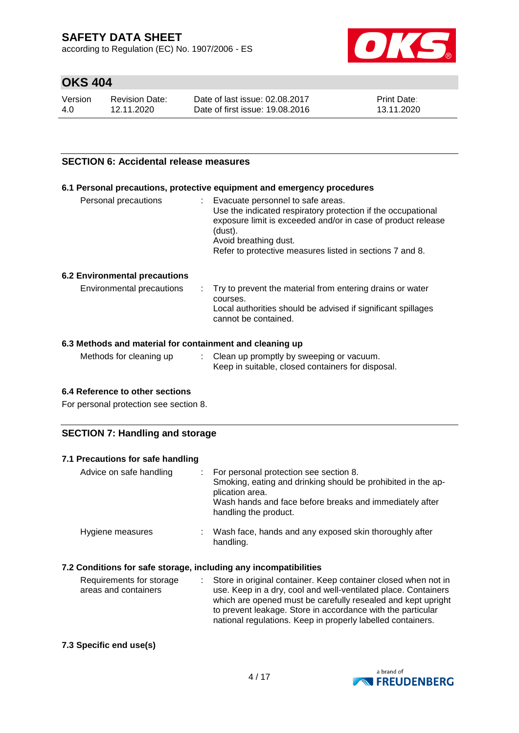according to Regulation (EC) No. 1907/2006 - ES



### **OKS 404**

| Version | <b>Revision Date:</b> | Date of last issue: 02.08.2017  | <b>Print Date:</b> |
|---------|-----------------------|---------------------------------|--------------------|
| 4.0     | 12.11.2020            | Date of first issue: 19,08,2016 | 13.11.2020         |

#### **SECTION 6: Accidental release measures**

#### **6.1 Personal precautions, protective equipment and emergency procedures**

| Personal precautions | t. | Evacuate personnel to safe areas.<br>Use the indicated respiratory protection if the occupational<br>exposure limit is exceeded and/or in case of product release<br>(dust).<br>Avoid breathing dust.<br>Refer to protective measures listed in sections 7 and 8. |
|----------------------|----|-------------------------------------------------------------------------------------------------------------------------------------------------------------------------------------------------------------------------------------------------------------------|
|                      |    |                                                                                                                                                                                                                                                                   |

#### **6.2 Environmental precautions**

| Environmental precautions | . Try to prevent the material from entering drains or water<br>courses.<br>Local authorities should be advised if significant spillages<br>cannot be contained. |
|---------------------------|-----------------------------------------------------------------------------------------------------------------------------------------------------------------|
|                           |                                                                                                                                                                 |

#### **6.3 Methods and material for containment and cleaning up**

| Methods for cleaning up<br>Clean up promptly by sweeping or vacuum.<br>Keep in suitable, closed containers for disposal. |  |
|--------------------------------------------------------------------------------------------------------------------------|--|
|--------------------------------------------------------------------------------------------------------------------------|--|

#### **6.4 Reference to other sections**

For personal protection see section 8.

#### **SECTION 7: Handling and storage**

| 7.1 Precautions for safe handling |                                                                                                                                                                                                                 |
|-----------------------------------|-----------------------------------------------------------------------------------------------------------------------------------------------------------------------------------------------------------------|
| Advice on safe handling           | : For personal protection see section 8.<br>Smoking, eating and drinking should be prohibited in the ap-<br>plication area.<br>Wash hands and face before breaks and immediately after<br>handling the product. |
| Hygiene measures                  | Wash face, hands and any exposed skin thoroughly after<br>handling.                                                                                                                                             |

#### **7.2 Conditions for safe storage, including any incompatibilities**

| Requirements for storage | : Store in original container. Keep container closed when not in |
|--------------------------|------------------------------------------------------------------|
| areas and containers     | use. Keep in a dry, cool and well-ventilated place. Containers   |
|                          | which are opened must be carefully resealed and kept upright     |
|                          | to prevent leakage. Store in accordance with the particular      |
|                          | national regulations. Keep in properly labelled containers.      |

#### **7.3 Specific end use(s)**

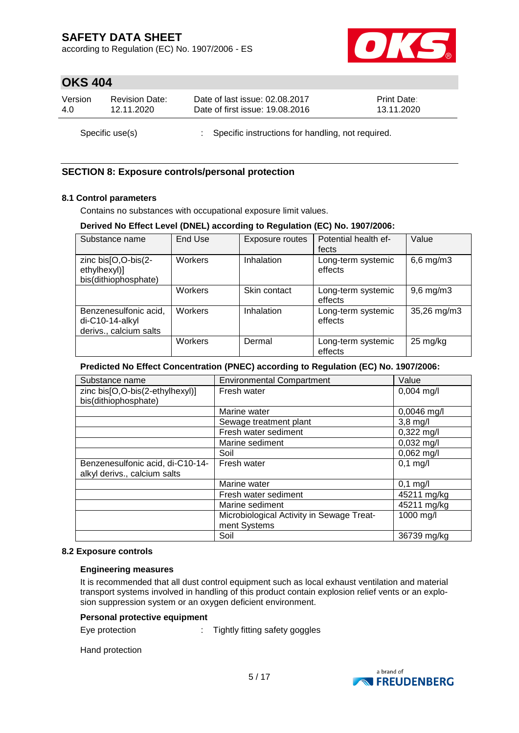according to Regulation (EC) No. 1907/2006 - ES



### **OKS 404**

| Version         | <b>Revision Date:</b> | Date of last issue: 02.08.2017                      | <b>Print Date:</b> |  |
|-----------------|-----------------------|-----------------------------------------------------|--------------------|--|
| 4.0             | 12.11.2020            | Date of first issue: 19.08.2016                     | 13.11.2020         |  |
| Specific use(s) |                       | : Specific instructions for handling, not required. |                    |  |

#### **SECTION 8: Exposure controls/personal protection**

#### **8.1 Control parameters**

Contains no substances with occupational exposure limit values.

#### **Derived No Effect Level (DNEL) according to Regulation (EC) No. 1907/2006:**

| Substance name                                                     | End Use | Exposure routes | Potential health ef-<br>fects | Value              |
|--------------------------------------------------------------------|---------|-----------------|-------------------------------|--------------------|
| zinc bis[O,O-bis(2-<br>ethylhexyl)]<br>bis(dithiophosphate)        | Workers | Inhalation      | Long-term systemic<br>effects | $6,6$ mg/m $3$     |
|                                                                    | Workers | Skin contact    | Long-term systemic<br>effects | $9,6$ mg/m $3$     |
| Benzenesulfonic acid,<br>di-C10-14-alkyl<br>derivs., calcium salts | Workers | Inhalation      | Long-term systemic<br>effects | 35,26 mg/m3        |
|                                                                    | Workers | Dermal          | Long-term systemic<br>effects | $25 \text{ mg/kg}$ |

#### **Predicted No Effect Concentration (PNEC) according to Regulation (EC) No. 1907/2006:**

| Substance name                   | <b>Environmental Compartment</b>          | Value                |
|----------------------------------|-------------------------------------------|----------------------|
| zinc bis[O,O-bis(2-ethylhexyl)]  | Fresh water                               | $0,004$ mg/l         |
| bis(dithiophosphate)             |                                           |                      |
|                                  | Marine water                              | $0,0046$ mg/l        |
|                                  | Sewage treatment plant                    | $3,8 \text{ mg/l}$   |
|                                  | Fresh water sediment                      | $0,322 \text{ mg/l}$ |
|                                  | Marine sediment                           | $0,032$ mg/l         |
|                                  | Soil                                      | $0,062$ mg/l         |
| Benzenesulfonic acid, di-C10-14- | Fresh water                               | $0,1$ mg/l           |
| alkyl derivs., calcium salts     |                                           |                      |
|                                  | Marine water                              | $0,1$ mg/l           |
|                                  | Fresh water sediment                      | 45211 mg/kg          |
|                                  | Marine sediment                           | 45211 mg/kg          |
|                                  | Microbiological Activity in Sewage Treat- | 1000 mg/l            |
|                                  | ment Systems                              |                      |
|                                  | Soil                                      | 36739 mg/kg          |

#### **8.2 Exposure controls**

#### **Engineering measures**

It is recommended that all dust control equipment such as local exhaust ventilation and material transport systems involved in handling of this product contain explosion relief vents or an explosion suppression system or an oxygen deficient environment.

#### **Personal protective equipment**

Eye protection : Tightly fitting safety goggles

Hand protection

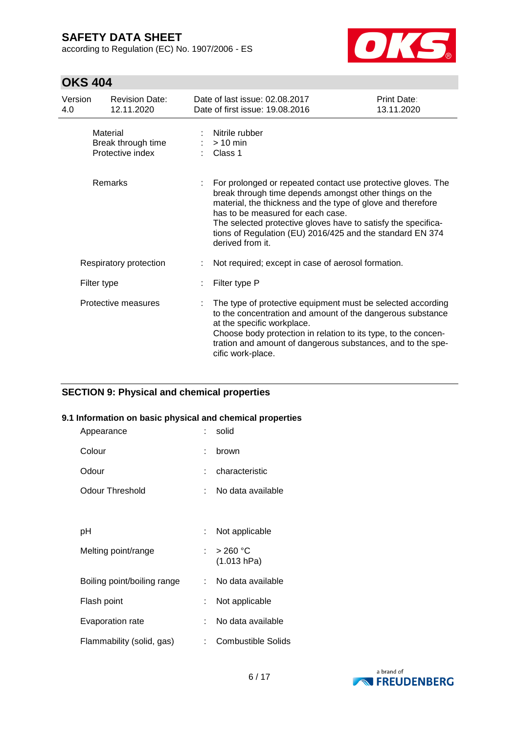according to Regulation (EC) No. 1907/2006 - ES



### **OKS 404**

| Version<br>4.0 | <b>Revision Date:</b><br>12.11.2020                | Date of last issue: 02.08.2017<br>Date of first issue: 19.08.2016                                                                                                                                                                                                                                                                                                            | Print Date:<br>13.11.2020 |
|----------------|----------------------------------------------------|------------------------------------------------------------------------------------------------------------------------------------------------------------------------------------------------------------------------------------------------------------------------------------------------------------------------------------------------------------------------------|---------------------------|
|                | Material<br>Break through time<br>Protective index | Nitrile rubber<br>$> 10$ min<br>Class 1                                                                                                                                                                                                                                                                                                                                      |                           |
|                | Remarks                                            | For prolonged or repeated contact use protective gloves. The<br>break through time depends amongst other things on the<br>material, the thickness and the type of glove and therefore<br>has to be measured for each case.<br>The selected protective gloves have to satisfy the specifica-<br>tions of Regulation (EU) 2016/425 and the standard EN 374<br>derived from it. |                           |
|                | Respiratory protection                             | Not required; except in case of aerosol formation.                                                                                                                                                                                                                                                                                                                           |                           |
|                | Filter type                                        | Filter type P                                                                                                                                                                                                                                                                                                                                                                |                           |
|                | Protective measures                                | The type of protective equipment must be selected according<br>to the concentration and amount of the dangerous substance<br>at the specific workplace.<br>Choose body protection in relation to its type, to the concen-<br>tration and amount of dangerous substances, and to the spe-<br>cific work-place.                                                                |                           |

#### **SECTION 9: Physical and chemical properties**

#### **9.1 Information on basic physical and chemical properties**

| Appearance                  |    | solid                     |
|-----------------------------|----|---------------------------|
| Colour                      | ۰  | brown                     |
| Odour                       |    | characteristic            |
| Odour Threshold             |    | No data available         |
|                             |    |                           |
| рH                          |    | Not applicable            |
| Melting point/range         | t. | > 260 °C<br>(1.013 hPa)   |
| Boiling point/boiling range |    | No data available         |
| Flash point                 | t. | Not applicable            |
| Evaporation rate            | t. | No data available         |
| Flammability (solid, gas)   |    | <b>Combustible Solids</b> |

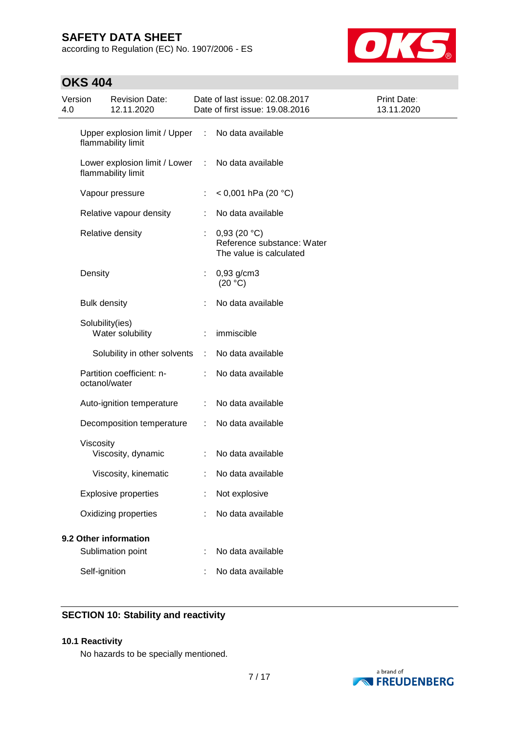according to Regulation (EC) No. 1907/2006 - ES



## **OKS 404**

| Version<br>4.0 |                     | <b>Revision Date:</b><br>12.11.2020                 |   | Date of last issue: 02.08.2017<br>Date of first issue: 19.08.2016    | Print Date:<br>13.11.2020 |
|----------------|---------------------|-----------------------------------------------------|---|----------------------------------------------------------------------|---------------------------|
|                |                     | Upper explosion limit / Upper<br>flammability limit | ÷ | No data available                                                    |                           |
|                |                     | Lower explosion limit / Lower<br>flammability limit | ÷ | No data available                                                    |                           |
|                |                     | Vapour pressure                                     | ÷ | $<$ 0,001 hPa (20 °C)                                                |                           |
|                |                     | Relative vapour density                             |   | No data available                                                    |                           |
|                |                     | Relative density                                    |   | 0,93(20 °C)<br>Reference substance: Water<br>The value is calculated |                           |
|                | Density             |                                                     | ÷ | $0,93$ g/cm3<br>(20 °C)                                              |                           |
|                | <b>Bulk density</b> |                                                     |   | No data available                                                    |                           |
|                | Solubility(ies)     | Water solubility                                    |   | immiscible                                                           |                           |
|                |                     | Solubility in other solvents                        | ÷ | No data available                                                    |                           |
|                | octanol/water       | Partition coefficient: n-                           |   | No data available                                                    |                           |
|                |                     | Auto-ignition temperature                           |   | No data available                                                    |                           |
|                |                     | Decomposition temperature                           | ÷ | No data available                                                    |                           |
|                | Viscosity           | Viscosity, dynamic                                  |   | No data available                                                    |                           |
|                |                     | Viscosity, kinematic                                |   | No data available                                                    |                           |
|                |                     | <b>Explosive properties</b>                         |   | Not explosive                                                        |                           |
|                |                     | Oxidizing properties                                |   | No data available                                                    |                           |
|                |                     | 9.2 Other information                               |   |                                                                      |                           |
|                |                     | Sublimation point                                   |   | No data available                                                    |                           |
|                | Self-ignition       |                                                     |   | No data available                                                    |                           |

### **SECTION 10: Stability and reactivity**

#### **10.1 Reactivity**

No hazards to be specially mentioned.

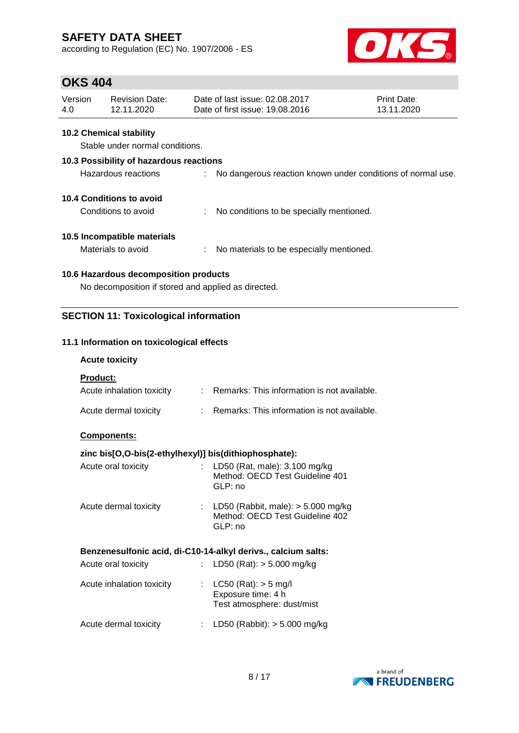according to Regulation (EC) No. 1907/2006 - ES



### **OKS 404**

| Version | Revision Date: | Date of last issue: 02.08.2017  | <b>Print Date:</b> |
|---------|----------------|---------------------------------|--------------------|
| 4.0     | 12.11.2020     | Date of first issue: 19,08,2016 | 13.11.2020         |

#### **10.2 Chemical stability**

Stable under normal conditions.

# **10.3 Possibility of hazardous reactions** Hazardous reactions : No dangerous reaction known under conditions of normal use. **10.4 Conditions to avoid** Conditions to avoid : No conditions to be specially mentioned.

#### **10.5 Incompatible materials**

Materials to avoid : No materials to be especially mentioned.

#### **10.6 Hazardous decomposition products**

No decomposition if stored and applied as directed.

### **SECTION 11: Toxicological information**

#### **11.1 Information on toxicological effects**

#### **Acute toxicity**

**Product:**

| Acute inhalation toxicity | : Remarks: This information is not available. |
|---------------------------|-----------------------------------------------|
| Acute dermal toxicity     | Remarks: This information is not available.   |

#### **Components:**

#### **zinc bis[O,O-bis(2-ethylhexyl)] bis(dithiophosphate):**

| Acute oral toxicity   | : LD50 (Rat, male): $3.100 \text{ mg/kg}$<br>Method: OECD Test Guideline 401<br>GLP: no |
|-----------------------|-----------------------------------------------------------------------------------------|
| Acute dermal toxicity | : LD50 (Rabbit, male): $>$ 5.000 mg/kg<br>Method: OECD Test Guideline 402<br>GLP: no    |

#### **Benzenesulfonic acid, di-C10-14-alkyl derivs., calcium salts:**

| Acute oral toxicity       | : LD50 (Rat): $> 5.000$ mg/kg                                                  |  |
|---------------------------|--------------------------------------------------------------------------------|--|
| Acute inhalation toxicity | : $LC50$ (Rat): $> 5$ mg/l<br>Exposure time: 4 h<br>Test atmosphere: dust/mist |  |
| Acute dermal toxicity     | LD50 (Rabbit): > 5.000 mg/kg                                                   |  |

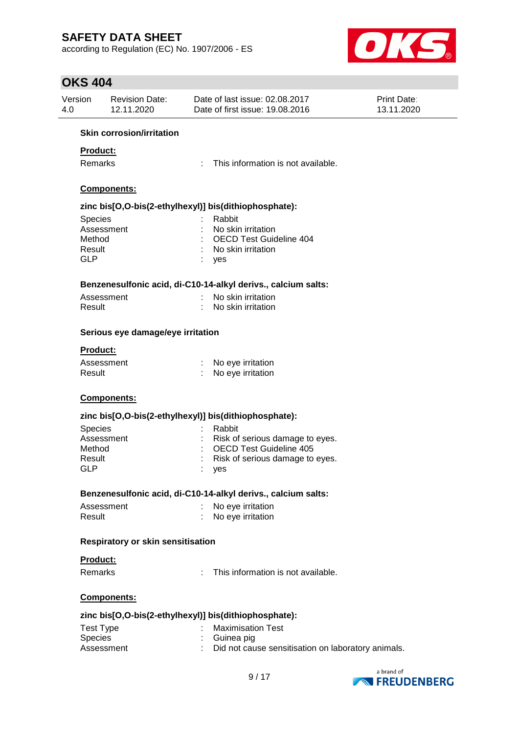according to Regulation (EC) No. 1907/2006 - ES



### **OKS 404**

| Version<br>4.0       | <b>Revision Date:</b><br>12.11.2020      |    | Date of last issue: 02.08.2017<br>Date of first issue: 19.08.2016 | <b>Print Date:</b><br>13.11.2020 |  |  |  |
|----------------------|------------------------------------------|----|-------------------------------------------------------------------|----------------------------------|--|--|--|
|                      | <b>Skin corrosion/irritation</b>         |    |                                                                   |                                  |  |  |  |
| <b>Product:</b>      |                                          |    |                                                                   |                                  |  |  |  |
| Remarks              |                                          | ÷. | This information is not available.                                |                                  |  |  |  |
|                      |                                          |    |                                                                   |                                  |  |  |  |
| Components:          |                                          |    |                                                                   |                                  |  |  |  |
|                      |                                          |    | zinc bis[O,O-bis(2-ethylhexyl)] bis(dithiophosphate):             |                                  |  |  |  |
| <b>Species</b>       |                                          |    | Rabbit                                                            |                                  |  |  |  |
|                      | Assessment                               |    | No skin irritation                                                |                                  |  |  |  |
| Method               |                                          |    | <b>OECD Test Guideline 404</b>                                    |                                  |  |  |  |
| Result<br><b>GLP</b> |                                          |    | No skin irritation                                                |                                  |  |  |  |
|                      |                                          |    | yes                                                               |                                  |  |  |  |
|                      |                                          |    | Benzenesulfonic acid, di-C10-14-alkyl derivs., calcium salts:     |                                  |  |  |  |
|                      | Assessment                               |    | No skin irritation                                                |                                  |  |  |  |
| Result               |                                          |    | No skin irritation                                                |                                  |  |  |  |
|                      | Serious eye damage/eye irritation        |    |                                                                   |                                  |  |  |  |
| <b>Product:</b>      |                                          |    |                                                                   |                                  |  |  |  |
|                      | Assessment                               |    | No eye irritation                                                 |                                  |  |  |  |
| Result               |                                          |    | No eye irritation                                                 |                                  |  |  |  |
|                      | <b>Components:</b>                       |    |                                                                   |                                  |  |  |  |
|                      |                                          |    | zinc bis[O,O-bis(2-ethylhexyl)] bis(dithiophosphate):             |                                  |  |  |  |
| Species              |                                          |    | Rabbit                                                            |                                  |  |  |  |
|                      | Assessment                               |    | Risk of serious damage to eyes.                                   |                                  |  |  |  |
| Method               |                                          |    | <b>OECD Test Guideline 405</b>                                    |                                  |  |  |  |
| Result               |                                          |    | Risk of serious damage to eyes.                                   |                                  |  |  |  |
| <b>GLP</b>           |                                          |    | yes                                                               |                                  |  |  |  |
|                      |                                          |    | Benzenesulfonic acid, di-C10-14-alkyl derivs., calcium salts:     |                                  |  |  |  |
|                      | Assessment                               |    | No eye irritation                                                 |                                  |  |  |  |
| Result               |                                          |    | No eye irritation                                                 |                                  |  |  |  |
|                      | <b>Respiratory or skin sensitisation</b> |    |                                                                   |                                  |  |  |  |
| <b>Product:</b>      |                                          |    |                                                                   |                                  |  |  |  |
| Remarks              |                                          | ÷  | This information is not available.                                |                                  |  |  |  |
|                      | Components:                              |    |                                                                   |                                  |  |  |  |
|                      |                                          |    | zinc bis[O,O-bis(2-ethylhexyl)] bis(dithiophosphate):             |                                  |  |  |  |
| <b>Test Type</b>     |                                          |    | <b>Maximisation Test</b>                                          |                                  |  |  |  |
| Species              |                                          |    | : Guinea pig                                                      |                                  |  |  |  |
|                      | Assessment                               |    | Did not cause sensitisation on laboratory animals.                |                                  |  |  |  |
|                      |                                          |    |                                                                   |                                  |  |  |  |

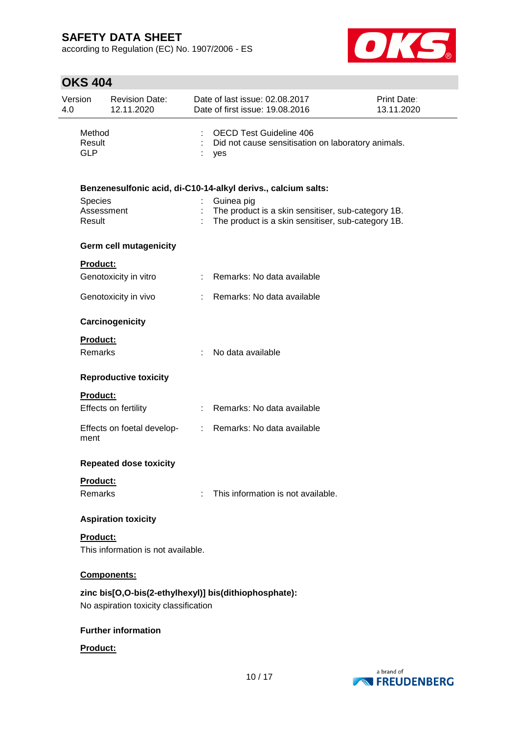according to Regulation (EC) No. 1907/2006 - ES



## **OKS 404**

| Version<br>4.0 |                                                               | <b>Revision Date:</b><br>12.11.2020   |  | Date of last issue: 02.08.2017<br>Date of first issue: 19.08.2016                                                      | Print Date:<br>13.11.2020 |  |  |  |
|----------------|---------------------------------------------------------------|---------------------------------------|--|------------------------------------------------------------------------------------------------------------------------|---------------------------|--|--|--|
|                | Method<br>Result<br><b>GLP</b>                                |                                       |  | <b>OECD Test Guideline 406</b><br>Did not cause sensitisation on laboratory animals.<br>yes                            |                           |  |  |  |
|                | Benzenesulfonic acid, di-C10-14-alkyl derivs., calcium salts: |                                       |  |                                                                                                                        |                           |  |  |  |
|                | Species<br>Assessment<br>Result                               |                                       |  | Guinea pig<br>The product is a skin sensitiser, sub-category 1B.<br>The product is a skin sensitiser, sub-category 1B. |                           |  |  |  |
|                |                                                               | <b>Germ cell mutagenicity</b>         |  |                                                                                                                        |                           |  |  |  |
|                | <b>Product:</b>                                               |                                       |  |                                                                                                                        |                           |  |  |  |
|                |                                                               | Genotoxicity in vitro                 |  | : Remarks: No data available                                                                                           |                           |  |  |  |
|                |                                                               | Genotoxicity in vivo                  |  | : Remarks: No data available                                                                                           |                           |  |  |  |
|                |                                                               | Carcinogenicity                       |  |                                                                                                                        |                           |  |  |  |
|                | <b>Product:</b>                                               |                                       |  |                                                                                                                        |                           |  |  |  |
|                | <b>Remarks</b>                                                |                                       |  | No data available                                                                                                      |                           |  |  |  |
|                |                                                               | <b>Reproductive toxicity</b>          |  |                                                                                                                        |                           |  |  |  |
|                | <b>Product:</b>                                               |                                       |  |                                                                                                                        |                           |  |  |  |
|                |                                                               | Effects on fertility                  |  | : Remarks: No data available                                                                                           |                           |  |  |  |
|                | ment                                                          | Effects on foetal develop-            |  | : Remarks: No data available                                                                                           |                           |  |  |  |
|                |                                                               | <b>Repeated dose toxicity</b>         |  |                                                                                                                        |                           |  |  |  |
|                | Product:                                                      |                                       |  |                                                                                                                        |                           |  |  |  |
|                | Remarks                                                       |                                       |  | This information is not available.                                                                                     |                           |  |  |  |
|                |                                                               | <b>Aspiration toxicity</b>            |  |                                                                                                                        |                           |  |  |  |
|                | Product:                                                      |                                       |  |                                                                                                                        |                           |  |  |  |
|                |                                                               | This information is not available.    |  |                                                                                                                        |                           |  |  |  |
|                |                                                               | Components:                           |  |                                                                                                                        |                           |  |  |  |
|                |                                                               | No aspiration toxicity classification |  | zinc bis[O,O-bis(2-ethylhexyl)] bis(dithiophosphate):                                                                  |                           |  |  |  |
|                |                                                               | <b>Further information</b>            |  |                                                                                                                        |                           |  |  |  |
|                | Product:                                                      |                                       |  |                                                                                                                        |                           |  |  |  |

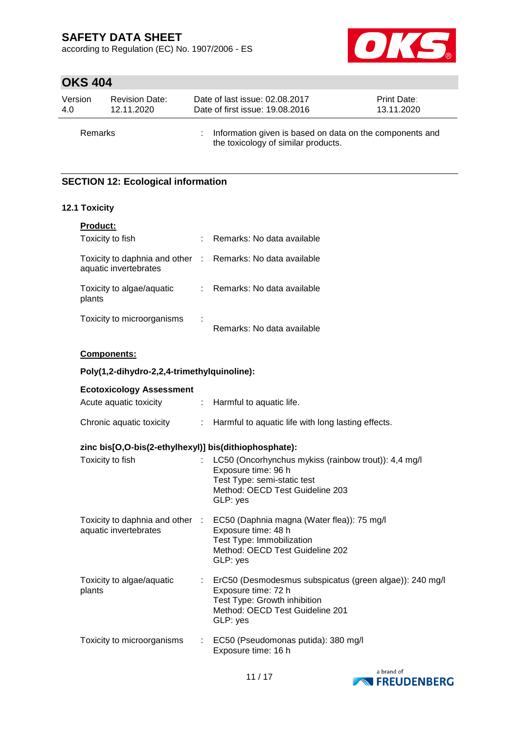according to Regulation (EC) No. 1907/2006 - ES



# **OKS 404**

| Version        | <b>Revision Date:</b> | Date of last issue: 02.08.2017                                                                  | Print Date: |
|----------------|-----------------------|-------------------------------------------------------------------------------------------------|-------------|
| 4.0            | 12.11.2020            | Date of first issue: 19.08.2016                                                                 | 13.11.2020  |
| <b>Remarks</b> |                       | Information given is based on data on the components and<br>the toxicology of similar products. |             |

### **SECTION 12: Ecological information**

#### **12.1 Toxicity**

| <b>Product:</b>                                        |                              |
|--------------------------------------------------------|------------------------------|
| Toxicity to fish                                       | Remarks: No data available   |
| Toxicity to daphnia and other<br>aquatic invertebrates | : Remarks: No data available |
| Toxicity to algae/aquatic<br>plants                    | Remarks: No data available   |
| Toxicity to microorganisms                             | Remarks: No data available   |

#### **Components:**

#### **Poly(1,2-dihydro-2,2,4-trimethylquinoline):**

| <b>Ecotoxicology Assessment</b>                       |                                                                                                                                                                               |
|-------------------------------------------------------|-------------------------------------------------------------------------------------------------------------------------------------------------------------------------------|
| Acute aquatic toxicity                                | : Harmful to aquatic life.                                                                                                                                                    |
| Chronic aquatic toxicity                              | : Harmful to aquatic life with long lasting effects.                                                                                                                          |
| zinc bis[O,O-bis(2-ethylhexyl)] bis(dithiophosphate): |                                                                                                                                                                               |
| Toxicity to fish                                      | : LC50 (Oncorhynchus mykiss (rainbow trout)): 4,4 mg/l<br>Exposure time: 96 h<br>Test Type: semi-static test<br>Method: OECD Test Guideline 203<br>GLP: yes                   |
| aquatic invertebrates                                 | Toxicity to daphnia and other : EC50 (Daphnia magna (Water flea)): 75 mg/l<br>Exposure time: 48 h<br>Test Type: Immobilization<br>Method: OECD Test Guideline 202<br>GLP: yes |
| Toxicity to algae/aquatic<br>plants                   | : ErC50 (Desmodesmus subspicatus (green algae)): 240 mg/l<br>Exposure time: 72 h<br>Test Type: Growth inhibition<br>Method: OECD Test Guideline 201<br>GLP: yes               |
| Toxicity to microorganisms                            | : EC50 (Pseudomonas putida): 380 mg/l<br>Exposure time: 16 h                                                                                                                  |

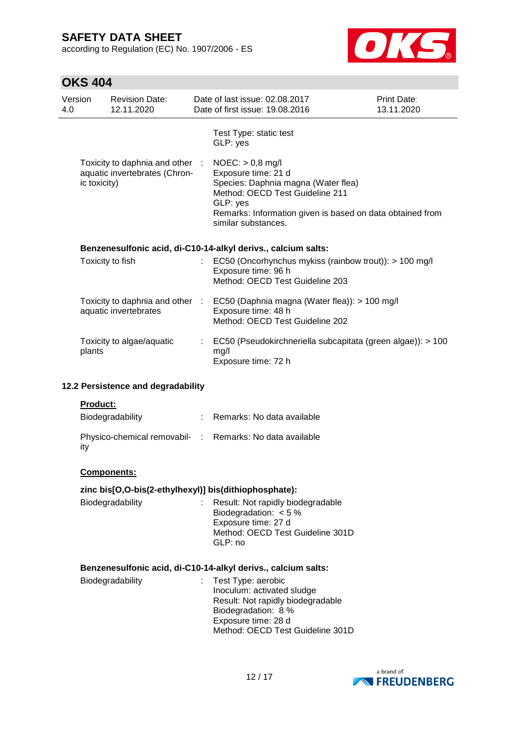according to Regulation (EC) No. 1907/2006 - ES



# **OKS 404**

| Version<br>4.0 |                                                               | <b>Revision Date:</b><br>12.11.2020                              |    | Date of last issue: 02.08.2017<br>Date of first issue: 19.08.2016                                                                                                                                                   | <b>Print Date:</b><br>13.11.2020 |  |
|----------------|---------------------------------------------------------------|------------------------------------------------------------------|----|---------------------------------------------------------------------------------------------------------------------------------------------------------------------------------------------------------------------|----------------------------------|--|
|                |                                                               |                                                                  |    | Test Type: static test<br>GLP: yes                                                                                                                                                                                  |                                  |  |
|                | ic toxicity)                                                  | Toxicity to daphnia and other :<br>aquatic invertebrates (Chron- |    | $NOEC:$ > 0,8 mg/l<br>Exposure time: 21 d<br>Species: Daphnia magna (Water flea)<br>Method: OECD Test Guideline 211<br>GLP: yes<br>Remarks: Information given is based on data obtained from<br>similar substances. |                                  |  |
|                |                                                               |                                                                  |    | Benzenesulfonic acid, di-C10-14-alkyl derivs., calcium salts:                                                                                                                                                       |                                  |  |
|                |                                                               | Toxicity to fish                                                 |    | EC50 (Oncorhynchus mykiss (rainbow trout)): > 100 mg/l<br>Exposure time: 96 h<br>Method: OECD Test Guideline 203                                                                                                    |                                  |  |
|                |                                                               | Toxicity to daphnia and other :<br>aquatic invertebrates         |    | EC50 (Daphnia magna (Water flea)): > 100 mg/l<br>Exposure time: 48 h<br>Method: OECD Test Guideline 202                                                                                                             |                                  |  |
|                | plants                                                        | Toxicity to algae/aquatic                                        |    | EC50 (Pseudokirchneriella subcapitata (green algae)): > 100<br>mg/l<br>Exposure time: 72 h                                                                                                                          |                                  |  |
|                |                                                               | 12.2 Persistence and degradability                               |    |                                                                                                                                                                                                                     |                                  |  |
|                | <b>Product:</b>                                               |                                                                  |    |                                                                                                                                                                                                                     |                                  |  |
|                |                                                               | Biodegradability                                                 |    | : Remarks: No data available                                                                                                                                                                                        |                                  |  |
|                | ity                                                           |                                                                  |    | Physico-chemical removabil- : Remarks: No data available                                                                                                                                                            |                                  |  |
|                |                                                               | <b>Components:</b>                                               |    |                                                                                                                                                                                                                     |                                  |  |
|                |                                                               |                                                                  |    | zinc bis[O,O-bis(2-ethylhexyl)] bis(dithiophosphate):                                                                                                                                                               |                                  |  |
|                |                                                               | Biodegradability                                                 |    | Result: Not rapidly biodegradable<br>Biodegradation: $< 5 \%$<br>Exposure time: 27 d<br>Method: OECD Test Guideline 301D<br>GLP: no                                                                                 |                                  |  |
|                | Benzenesulfonic acid, di-C10-14-alkyl derivs., calcium salts: |                                                                  |    |                                                                                                                                                                                                                     |                                  |  |
|                |                                                               | Biodegradability                                                 | t. | Test Type: aerobic<br>Inoculum: activated sludge<br>Result: Not rapidly biodegradable<br>Biodegradation: 8 %<br>Exposure time: 28 d<br>Method: OECD Test Guideline 301D                                             |                                  |  |

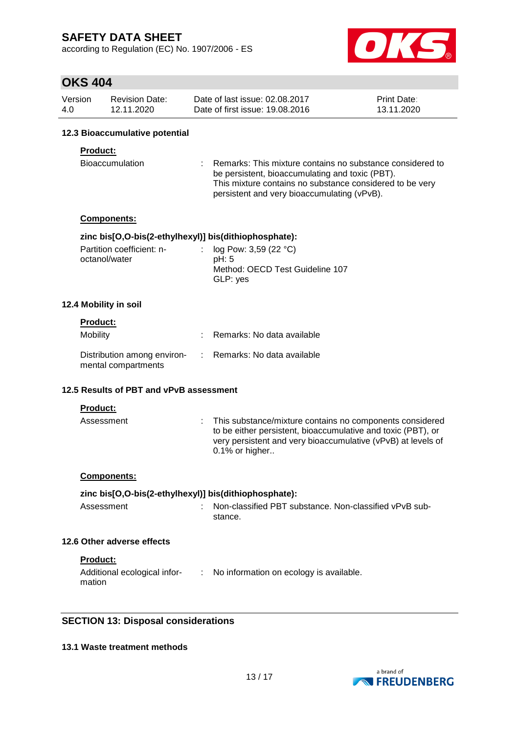according to Regulation (EC) No. 1907/2006 - ES



### **OKS 404**

| Version | <b>Revision Date:</b> | Date of last issue: 02.08.2017  | <b>Print Date:</b> |
|---------|-----------------------|---------------------------------|--------------------|
| 4.0     | 12.11.2020            | Date of first issue: 19,08,2016 | 13.11.2020         |

#### **12.3 Bioaccumulative potential**

#### **Product:**

| Bioaccumulation |  | : Remarks: This mixture contains no substance considered to |
|-----------------|--|-------------------------------------------------------------|
|                 |  | be persistent, bioaccumulating and toxic (PBT).             |
|                 |  | This mixture contains no substance considered to be very    |
|                 |  | persistent and very bioaccumulating (vPvB).                 |

#### **Components:**

#### **zinc bis[O,O-bis(2-ethylhexyl)] bis(dithiophosphate):**

| Partition coefficient: n- | : $log Pow: 3,59 (22 °C)$       |  |
|---------------------------|---------------------------------|--|
| octanol/water             | pH: 5                           |  |
|                           | Method: OECD Test Guideline 107 |  |
|                           | GLP: yes                        |  |

#### **12.4 Mobility in soil**

### **Product:**

| <b>Mobility</b>                                                                 | Remarks: No data available |
|---------------------------------------------------------------------------------|----------------------------|
| Distribution among environ- : Remarks: No data available<br>mental compartments |                            |

#### **12.5 Results of PBT and vPvB assessment**

**Product:**

| Assessment | : This substance/mixture contains no components considered<br>to be either persistent, bioaccumulative and toxic (PBT), or<br>very persistent and very bioaccumulative (vPvB) at levels of<br>0.1% or higher |
|------------|--------------------------------------------------------------------------------------------------------------------------------------------------------------------------------------------------------------|
|            |                                                                                                                                                                                                              |

#### **Components:**

#### **zinc bis[O,O-bis(2-ethylhexyl)] bis(dithiophosphate):**

| Assessment | : Non-classified PBT substance. Non-classified vPvB sub- |
|------------|----------------------------------------------------------|
|            | stance.                                                  |

#### **12.6 Other adverse effects**

**Product:**

| Additional ecological infor- | : No information on ecology is available. |
|------------------------------|-------------------------------------------|
| mation                       |                                           |

#### **SECTION 13: Disposal considerations**

#### **13.1 Waste treatment methods**

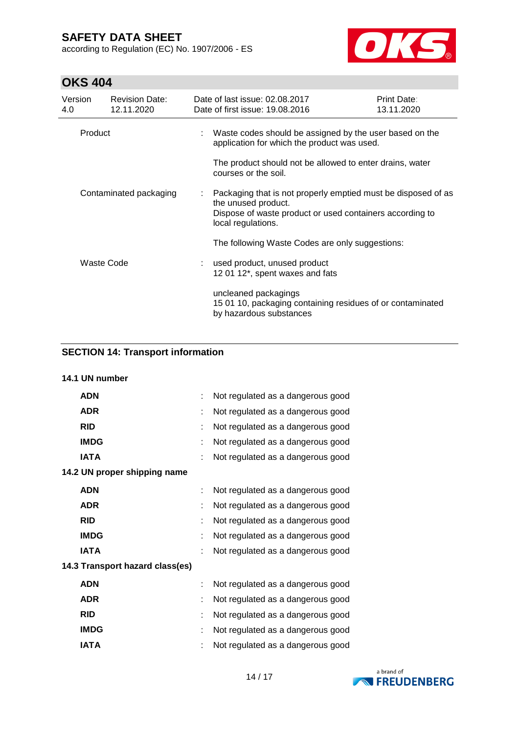according to Regulation (EC) No. 1907/2006 - ES



# **OKS 404**

| Version<br>4.0         | <b>Revision Date:</b><br>12.11.2020 | Date of last issue: 02.08.2017<br>Date of first issue: 19.08.2016                                                                                                      | Print Date:<br>13.11.2020 |
|------------------------|-------------------------------------|------------------------------------------------------------------------------------------------------------------------------------------------------------------------|---------------------------|
| Product                |                                     | Waste codes should be assigned by the user based on the<br>application for which the product was used.                                                                 |                           |
|                        |                                     | The product should not be allowed to enter drains, water<br>courses or the soil.                                                                                       |                           |
| Contaminated packaging |                                     | Packaging that is not properly emptied must be disposed of as<br>the unused product.<br>Dispose of waste product or used containers according to<br>local regulations. |                           |
|                        |                                     | The following Waste Codes are only suggestions:                                                                                                                        |                           |
| Waste Code             |                                     | used product, unused product<br>12 01 12*, spent waxes and fats                                                                                                        |                           |
|                        |                                     | uncleaned packagings<br>15 01 10, packaging containing residues of or contaminated<br>by hazardous substances                                                          |                           |

### **SECTION 14: Transport information**

#### **14.1 UN number**

| <b>ADN</b>                      |    | Not regulated as a dangerous good |  |  |  |
|---------------------------------|----|-----------------------------------|--|--|--|
| <b>ADR</b>                      | ÷  | Not regulated as a dangerous good |  |  |  |
| <b>RID</b>                      | t  | Not regulated as a dangerous good |  |  |  |
| <b>IMDG</b>                     | t  | Not regulated as a dangerous good |  |  |  |
| <b>IATA</b>                     |    | Not regulated as a dangerous good |  |  |  |
| 14.2 UN proper shipping name    |    |                                   |  |  |  |
| <b>ADN</b>                      | t. | Not regulated as a dangerous good |  |  |  |
| <b>ADR</b>                      |    | Not regulated as a dangerous good |  |  |  |
| <b>RID</b>                      |    | Not regulated as a dangerous good |  |  |  |
| <b>IMDG</b>                     |    | Not regulated as a dangerous good |  |  |  |
| <b>IATA</b>                     | t  | Not regulated as a dangerous good |  |  |  |
| 14.3 Transport hazard class(es) |    |                                   |  |  |  |
| <b>ADN</b>                      | t. | Not regulated as a dangerous good |  |  |  |
| <b>ADR</b>                      | t  | Not regulated as a dangerous good |  |  |  |
| <b>RID</b>                      | t  | Not regulated as a dangerous good |  |  |  |
| <b>IMDG</b>                     |    | Not regulated as a dangerous good |  |  |  |
| <b>IATA</b>                     |    | Not regulated as a dangerous good |  |  |  |

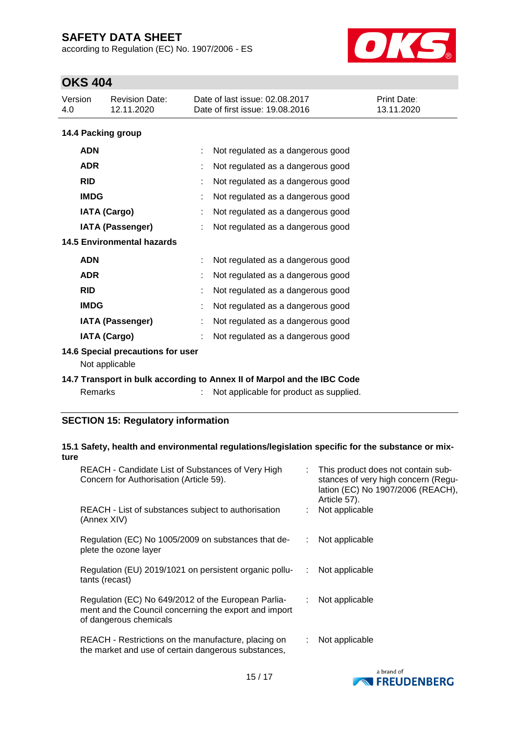according to Regulation (EC) No. 1907/2006 - ES



# **OKS 404**

| UNJ 404                           |                                                     |                                                                         |                           |  |
|-----------------------------------|-----------------------------------------------------|-------------------------------------------------------------------------|---------------------------|--|
| Version<br>4.0                    | <b>Revision Date:</b><br>12.11.2020                 | Date of last issue: 02.08.2017<br>Date of first issue: 19.08.2016       | Print Date:<br>13.11.2020 |  |
|                                   | 14.4 Packing group                                  |                                                                         |                           |  |
| <b>ADN</b>                        |                                                     | Not regulated as a dangerous good<br>t                                  |                           |  |
| <b>ADR</b>                        |                                                     | Not regulated as a dangerous good                                       |                           |  |
| <b>RID</b>                        |                                                     | Not regulated as a dangerous good                                       |                           |  |
| <b>IMDG</b>                       |                                                     | Not regulated as a dangerous good                                       |                           |  |
|                                   | <b>IATA (Cargo)</b>                                 | Not regulated as a dangerous good                                       |                           |  |
|                                   | <b>IATA (Passenger)</b>                             | Not regulated as a dangerous good                                       |                           |  |
| <b>14.5 Environmental hazards</b> |                                                     |                                                                         |                           |  |
| <b>ADN</b>                        |                                                     | Not regulated as a dangerous good                                       |                           |  |
| <b>ADR</b>                        |                                                     | Not regulated as a dangerous good                                       |                           |  |
| <b>RID</b>                        |                                                     | Not regulated as a dangerous good                                       |                           |  |
| <b>IMDG</b>                       |                                                     | Not regulated as a dangerous good                                       |                           |  |
|                                   | <b>IATA (Passenger)</b>                             | Not regulated as a dangerous good                                       |                           |  |
|                                   | <b>IATA (Cargo)</b>                                 | Not regulated as a dangerous good                                       |                           |  |
|                                   | 14.6 Special precautions for user<br>Not applicable |                                                                         |                           |  |
|                                   |                                                     | 14.7 Transport in bulk according to Annex II of Marpol and the IBC Code |                           |  |

Remarks : Not applicable for product as supplied.

#### **SECTION 15: Regulatory information**

#### **15.1 Safety, health and environmental regulations/legislation specific for the substance or mixture**

| REACH - Candidate List of Substances of Very High<br>Concern for Authorisation (Article 59).                                           |   | : This product does not contain sub-<br>stances of very high concern (Regu-<br>lation (EC) No 1907/2006 (REACH),<br>Article 57). |
|----------------------------------------------------------------------------------------------------------------------------------------|---|----------------------------------------------------------------------------------------------------------------------------------|
| REACH - List of substances subject to authorisation<br>(Annex XIV)                                                                     |   | Not applicable                                                                                                                   |
| Regulation (EC) No 1005/2009 on substances that de-<br>plete the ozone layer                                                           |   | Not applicable                                                                                                                   |
| Regulation (EU) 2019/1021 on persistent organic pollu-<br>tants (recast)                                                               | ÷ | Not applicable                                                                                                                   |
| Regulation (EC) No 649/2012 of the European Parlia-<br>ment and the Council concerning the export and import<br>of dangerous chemicals |   | Not applicable                                                                                                                   |
| REACH - Restrictions on the manufacture, placing on<br>the market and use of certain dangerous substances,                             |   | Not applicable                                                                                                                   |

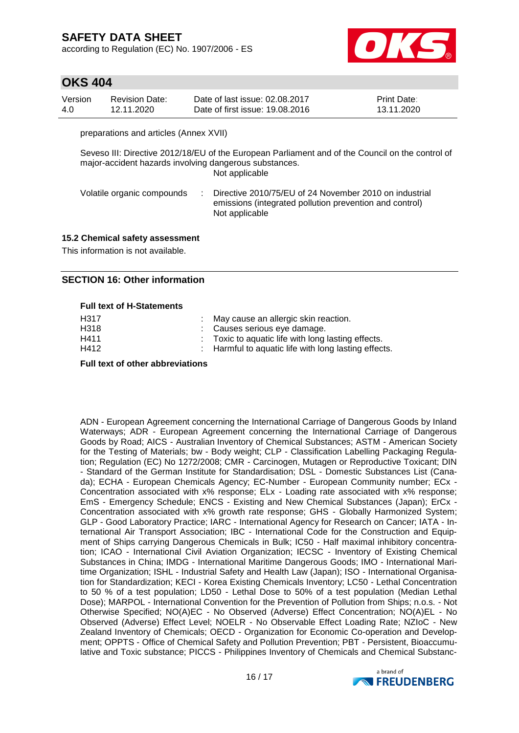according to Regulation (EC) No. 1907/2006 - ES



### **OKS 404**

| Version | Revision Date: | Date of last issue: 02.08.2017  | <b>Print Date:</b> |
|---------|----------------|---------------------------------|--------------------|
| 4.0     | 12.11.2020     | Date of first issue: 19,08,2016 | 13.11.2020         |

preparations and articles (Annex XVII)

Seveso III: Directive 2012/18/EU of the European Parliament and of the Council on the control of major-accident hazards involving dangerous substances. Not applicable

| Directive 2010/75/EU of 24 November 2010 on industrial                    |
|---------------------------------------------------------------------------|
| emissions (integrated pollution prevention and control)<br>Not applicable |
|                                                                           |

#### **15.2 Chemical safety assessment**

This information is not available.

#### **SECTION 16: Other information**

#### **Full text of H-Statements**

| H317 | : May cause an allergic skin reaction.               |
|------|------------------------------------------------------|
| H318 | : Causes serious eve damage.                         |
| H411 | : Toxic to aquatic life with long lasting effects.   |
| H412 | : Harmful to aquatic life with long lasting effects. |
|      |                                                      |

#### **Full text of other abbreviations**

ADN - European Agreement concerning the International Carriage of Dangerous Goods by Inland Waterways; ADR - European Agreement concerning the International Carriage of Dangerous Goods by Road; AICS - Australian Inventory of Chemical Substances; ASTM - American Society for the Testing of Materials; bw - Body weight; CLP - Classification Labelling Packaging Regulation; Regulation (EC) No 1272/2008; CMR - Carcinogen, Mutagen or Reproductive Toxicant; DIN - Standard of the German Institute for Standardisation; DSL - Domestic Substances List (Canada); ECHA - European Chemicals Agency; EC-Number - European Community number; ECx - Concentration associated with x% response; ELx - Loading rate associated with x% response; EmS - Emergency Schedule; ENCS - Existing and New Chemical Substances (Japan); ErCx - Concentration associated with x% growth rate response; GHS - Globally Harmonized System; GLP - Good Laboratory Practice; IARC - International Agency for Research on Cancer; IATA - International Air Transport Association; IBC - International Code for the Construction and Equipment of Ships carrying Dangerous Chemicals in Bulk; IC50 - Half maximal inhibitory concentration; ICAO - International Civil Aviation Organization; IECSC - Inventory of Existing Chemical Substances in China; IMDG - International Maritime Dangerous Goods; IMO - International Maritime Organization; ISHL - Industrial Safety and Health Law (Japan); ISO - International Organisation for Standardization; KECI - Korea Existing Chemicals Inventory; LC50 - Lethal Concentration to 50 % of a test population; LD50 - Lethal Dose to 50% of a test population (Median Lethal Dose); MARPOL - International Convention for the Prevention of Pollution from Ships; n.o.s. - Not Otherwise Specified; NO(A)EC - No Observed (Adverse) Effect Concentration; NO(A)EL - No Observed (Adverse) Effect Level; NOELR - No Observable Effect Loading Rate; NZIoC - New Zealand Inventory of Chemicals; OECD - Organization for Economic Co-operation and Development; OPPTS - Office of Chemical Safety and Pollution Prevention; PBT - Persistent, Bioaccumulative and Toxic substance; PICCS - Philippines Inventory of Chemicals and Chemical Substanc-